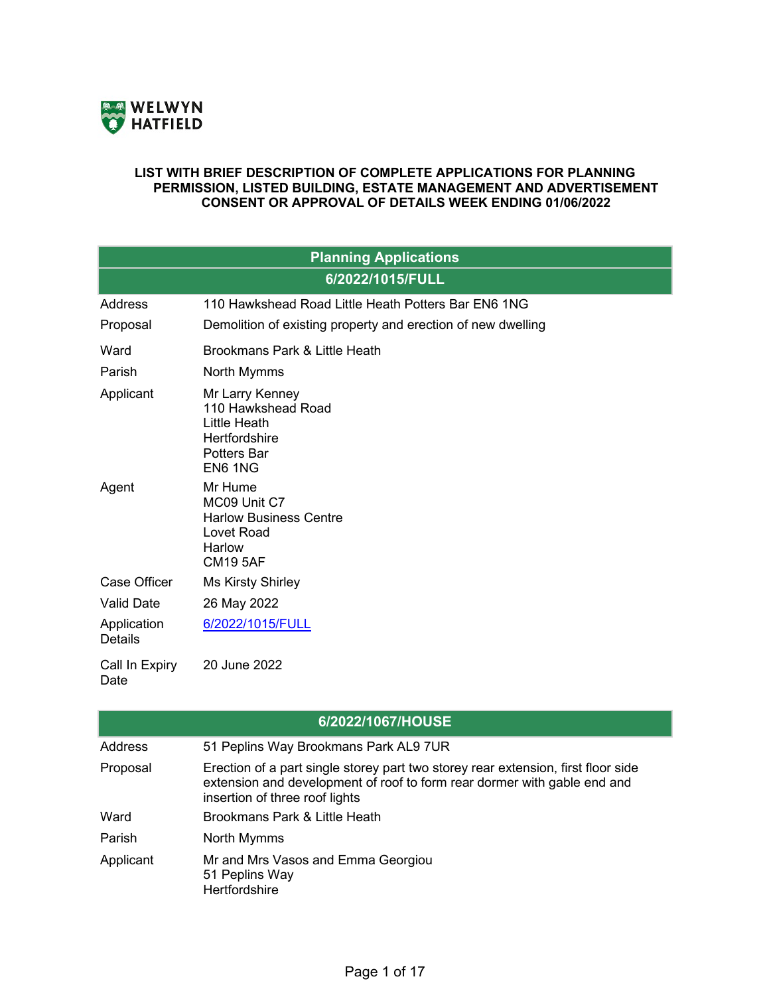

## **LIST WITH BRIEF DESCRIPTION OF COMPLETE APPLICATIONS FOR PLANNING PERMISSION, LISTED BUILDING, ESTATE MANAGEMENT AND ADVERTISEMENT CONSENT OR APPROVAL OF DETAILS WEEK ENDING 01/06/2022**

| <b>Planning Applications</b>  |                                                                                                            |  |
|-------------------------------|------------------------------------------------------------------------------------------------------------|--|
| 6/2022/1015/FULL              |                                                                                                            |  |
| Address                       | 110 Hawkshead Road Little Heath Potters Bar EN6 1NG                                                        |  |
| Proposal                      | Demolition of existing property and erection of new dwelling                                               |  |
| Ward                          | Brookmans Park & Little Heath                                                                              |  |
| Parish                        | North Mymms                                                                                                |  |
| Applicant                     | Mr Larry Kenney<br>110 Hawkshead Road<br>Little Heath<br><b>Hertfordshire</b><br>Potters Bar<br>EN6 1NG    |  |
| Agent                         | Mr Hume<br>MC09 Unit C7<br><b>Harlow Business Centre</b><br><b>Lovet Road</b><br>Harlow<br><b>CM19 5AF</b> |  |
| Case Officer                  | <b>Ms Kirsty Shirley</b>                                                                                   |  |
| <b>Valid Date</b>             | 26 May 2022                                                                                                |  |
| Application<br><b>Details</b> | 6/2022/1015/FULL                                                                                           |  |
| Call In Expiry<br>Date        | 20 June 2022                                                                                               |  |

| 6/2022/1067/HOUSE |                                                                                                                                                                                                 |  |
|-------------------|-------------------------------------------------------------------------------------------------------------------------------------------------------------------------------------------------|--|
| Address           | 51 Peplins Way Brookmans Park AL9 7UR                                                                                                                                                           |  |
| Proposal          | Erection of a part single storey part two storey rear extension, first floor side<br>extension and development of roof to form rear dormer with gable end and<br>insertion of three roof lights |  |
| Ward              | Brookmans Park & Little Heath                                                                                                                                                                   |  |
| Parish            | North Mymms                                                                                                                                                                                     |  |
| Applicant         | Mr and Mrs Vasos and Emma Georgiou<br>51 Peplins Way<br>Hertfordshire                                                                                                                           |  |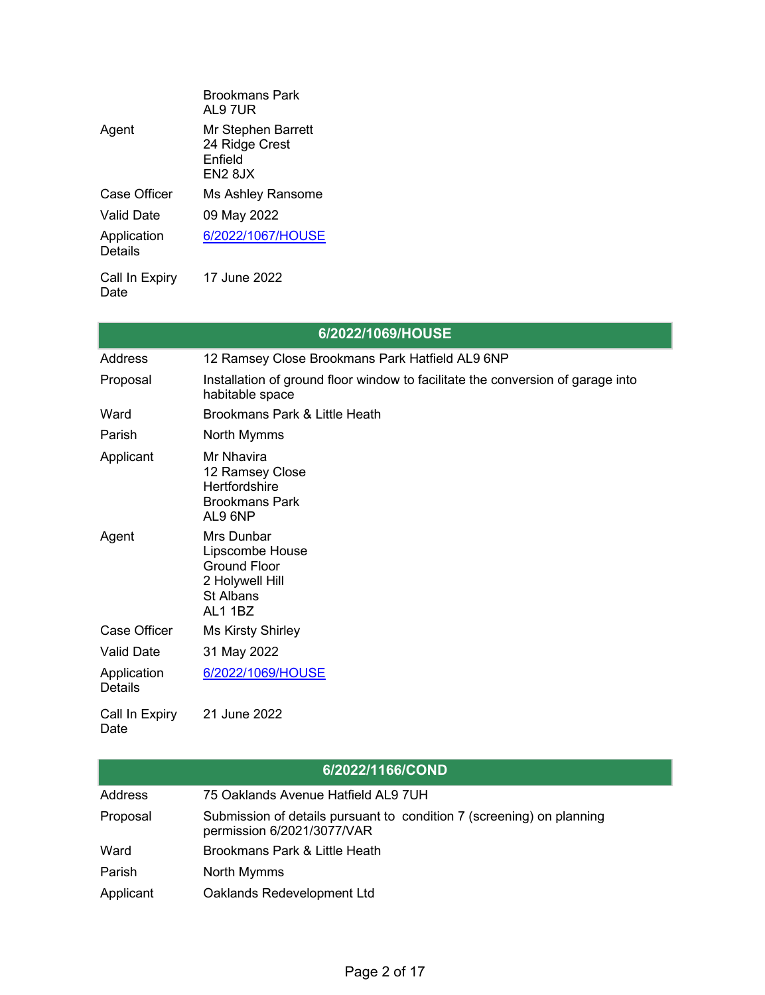|                        | Brookmans Park<br>AL9 7UR                                         |
|------------------------|-------------------------------------------------------------------|
| Agent                  | Mr Stephen Barrett<br>24 Ridge Crest<br><b>Fnfield</b><br>EN2 8JX |
| Case Officer           | Ms Ashley Ransome                                                 |
| Valid Date             | 09 May 2022                                                       |
| Application<br>Details | 6/2022/1067/HOUSE                                                 |
| Call In Expiry         | 17 June 2022                                                      |

Date

|                               | 6/2022/1069/HOUSE                                                                                      |
|-------------------------------|--------------------------------------------------------------------------------------------------------|
| Address                       | 12 Ramsey Close Brookmans Park Hatfield AL9 6NP                                                        |
| Proposal                      | Installation of ground floor window to facilitate the conversion of garage into<br>habitable space     |
| Ward                          | Brookmans Park & Little Heath                                                                          |
| Parish                        | North Mymms                                                                                            |
| Applicant                     | Mr Nhavira<br>12 Ramsey Close<br><b>Hertfordshire</b><br><b>Brookmans Park</b><br>AL9 6NP              |
| Agent                         | Mrs Dunbar<br>Lipscombe House<br><b>Ground Floor</b><br>2 Holywell Hill<br><b>St Albans</b><br>AL1 1BZ |
| <b>Case Officer</b>           | <b>Ms Kirsty Shirley</b>                                                                               |
| <b>Valid Date</b>             | 31 May 2022                                                                                            |
| Application<br><b>Details</b> | 6/2022/1069/HOUSE                                                                                      |
| Call In Expiry<br>Date        | 21 June 2022                                                                                           |

 $\overline{\phantom{a}}$ 

|           | 6/2022/1166/COND                                                                                    |
|-----------|-----------------------------------------------------------------------------------------------------|
| Address   | 75 Oaklands Avenue Hatfield AL9 7UH                                                                 |
| Proposal  | Submission of details pursuant to condition 7 (screening) on planning<br>permission 6/2021/3077/VAR |
| Ward      | Brookmans Park & Little Heath                                                                       |
| Parish    | North Mymms                                                                                         |
| Applicant | Oaklands Redevelopment Ltd                                                                          |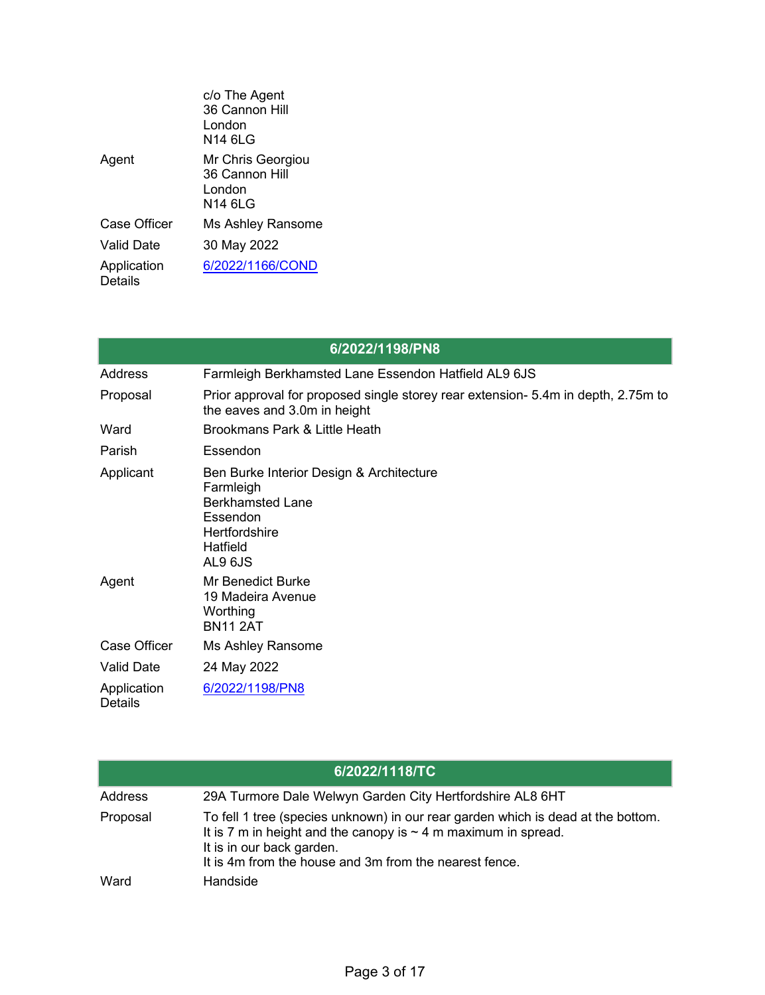|                               | c/o The Agent<br>36 Cannon Hill<br>I ondon<br>N14 6LG     |
|-------------------------------|-----------------------------------------------------------|
| Agent                         | Mr Chris Georgiou<br>36 Cannon Hill<br>I ondon<br>N14 6LG |
| Case Officer                  | Ms Ashley Ransome                                         |
| Valid Date                    | 30 May 2022                                               |
| Application<br><b>Details</b> | 6/2022/1166/COND                                          |

|                               | 6/2022/1198/PN8                                                                                                                                    |
|-------------------------------|----------------------------------------------------------------------------------------------------------------------------------------------------|
| <b>Address</b>                | Farmleigh Berkhamsted Lane Essendon Hatfield AL9 6JS                                                                                               |
| Proposal                      | Prior approval for proposed single storey rear extension- 5.4m in depth, 2.75m to<br>the eaves and 3.0m in height                                  |
| Ward                          | Brookmans Park & Little Heath                                                                                                                      |
| Parish                        | Essendon                                                                                                                                           |
| Applicant                     | Ben Burke Interior Design & Architecture<br>Farmleigh<br><b>Berkhamsted Lane</b><br>Essendon<br><b>Hertfordshire</b><br><b>Hatfield</b><br>AL9 6JS |
| Agent                         | <b>Mr Benedict Burke</b><br>19 Madeira Avenue<br>Worthing<br><b>BN11 2AT</b>                                                                       |
| <b>Case Officer</b>           | Ms Ashley Ransome                                                                                                                                  |
| <b>Valid Date</b>             | 24 May 2022                                                                                                                                        |
| Application<br><b>Details</b> | 6/2022/1198/PN8                                                                                                                                    |

|          | 6/2022/1118/TC                                                                                                                                                                                                                                 |
|----------|------------------------------------------------------------------------------------------------------------------------------------------------------------------------------------------------------------------------------------------------|
| Address  | 29A Turmore Dale Welwyn Garden City Hertfordshire AL8 6HT                                                                                                                                                                                      |
| Proposal | To fell 1 tree (species unknown) in our rear garden which is dead at the bottom.<br>It is 7 m in height and the canopy is $\sim$ 4 m maximum in spread.<br>It is in our back garden.<br>It is 4m from the house and 3m from the nearest fence. |
| Ward     | Handside                                                                                                                                                                                                                                       |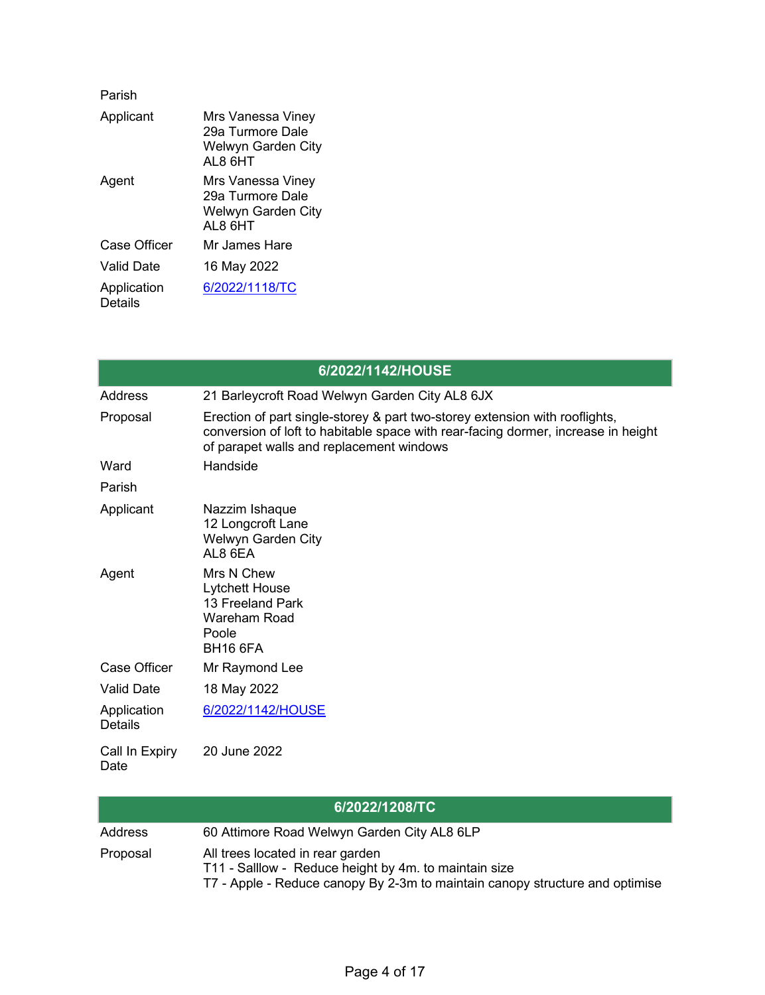| Parish                        |                                                                                |
|-------------------------------|--------------------------------------------------------------------------------|
| Applicant                     | Mrs Vanessa Viney<br>29a Turmore Dale<br><b>Welwyn Garden City</b><br>AI 8 6HT |
| Agent                         | Mrs Vanessa Viney<br>29a Turmore Dale<br>Welwyn Garden City<br>AL8 6HT         |
| Case Officer                  | Mr James Hare                                                                  |
| Valid Date                    | 16 May 2022                                                                    |
| Application<br><b>Details</b> | 6/2022/1118/TC                                                                 |

|                               | 6/2022/1142/HOUSE                                                                                                                                                                                            |
|-------------------------------|--------------------------------------------------------------------------------------------------------------------------------------------------------------------------------------------------------------|
| Address                       | 21 Barleycroft Road Welwyn Garden City AL8 6JX                                                                                                                                                               |
| Proposal                      | Erection of part single-storey & part two-storey extension with rooflights,<br>conversion of loft to habitable space with rear-facing dormer, increase in height<br>of parapet walls and replacement windows |
| Ward                          | Handside                                                                                                                                                                                                     |
| Parish                        |                                                                                                                                                                                                              |
| Applicant                     | Nazzim Ishaque<br>12 Longcroft Lane<br>Welwyn Garden City<br>AL8 6EA                                                                                                                                         |
| Agent                         | Mrs N Chew<br><b>Lytchett House</b><br>13 Freeland Park<br><b>Wareham Road</b><br>Poole<br><b>BH16 6FA</b>                                                                                                   |
| <b>Case Officer</b>           | Mr Raymond Lee                                                                                                                                                                                               |
| <b>Valid Date</b>             | 18 May 2022                                                                                                                                                                                                  |
| Application<br><b>Details</b> | 6/2022/1142/HOUSE                                                                                                                                                                                            |
| Call In Expiry<br>Date        | 20 June 2022                                                                                                                                                                                                 |

| 6/2022/1208/TC |                                                                                                                                                                           |  |
|----------------|---------------------------------------------------------------------------------------------------------------------------------------------------------------------------|--|
| Address        | 60 Attimore Road Welwyn Garden City AL8 6LP                                                                                                                               |  |
| Proposal       | All trees located in rear garden<br>T11 - Salllow - Reduce height by 4m. to maintain size<br>T7 - Apple - Reduce canopy By 2-3m to maintain canopy structure and optimise |  |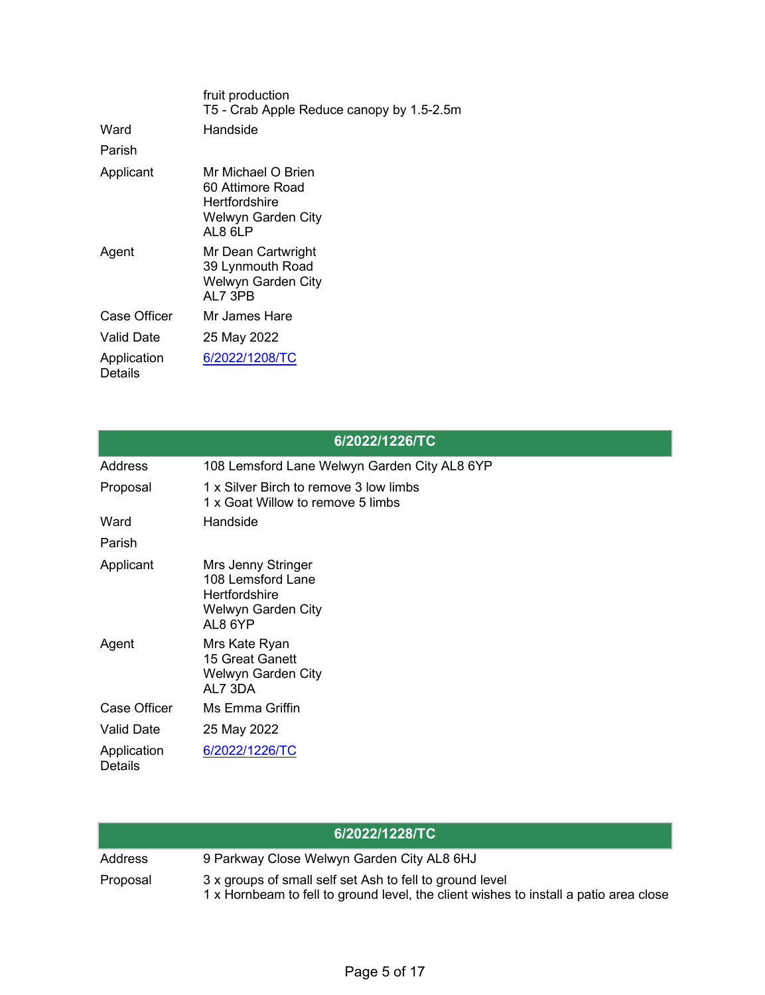|                        | fruit production<br>T5 - Crab Apple Reduce canopy by 1.5-2.5m                                   |
|------------------------|-------------------------------------------------------------------------------------------------|
| Ward                   | Handside                                                                                        |
| Parish                 |                                                                                                 |
| Applicant              | Mr Michael O Brien<br>60 Attimore Road<br>Hertfordshire<br><b>Welwyn Garden City</b><br>AL8 6LP |
| Agent                  | Mr Dean Cartwright<br>39 Lynmouth Road<br><b>Welwyn Garden City</b><br>AL7 3PB                  |
| Case Officer           | Mr James Hare                                                                                   |
| Valid Date             | 25 May 2022                                                                                     |
| Application<br>Details | 6/2022/1208/TC                                                                                  |

|                               | 6/2022/1226/TC                                                                                   |
|-------------------------------|--------------------------------------------------------------------------------------------------|
| Address                       | 108 Lemsford Lane Welwyn Garden City AL8 6YP                                                     |
| Proposal                      | 1 x Silver Birch to remove 3 low limbs<br>1 x Goat Willow to remove 5 limbs                      |
| Ward                          | Handside                                                                                         |
| Parish                        |                                                                                                  |
| Applicant                     | Mrs Jenny Stringer<br>108 Lemsford Lane<br><b>Hertfordshire</b><br>Welwyn Garden City<br>AL8 6YP |
| Agent                         | Mrs Kate Ryan<br>15 Great Ganett<br>Welwyn Garden City<br>AL7 3DA                                |
| <b>Case Officer</b>           | Ms Emma Griffin                                                                                  |
| <b>Valid Date</b>             | 25 May 2022                                                                                      |
| Application<br><b>Details</b> | 6/2022/1226/TC                                                                                   |

|          | 6/2022/1228/TC                                                                                                                                    |
|----------|---------------------------------------------------------------------------------------------------------------------------------------------------|
| Address  | 9 Parkway Close Welwyn Garden City AL8 6HJ                                                                                                        |
| Proposal | 3 x groups of small self set Ash to fell to ground level<br>1 x Hornbeam to fell to ground level, the client wishes to install a patio area close |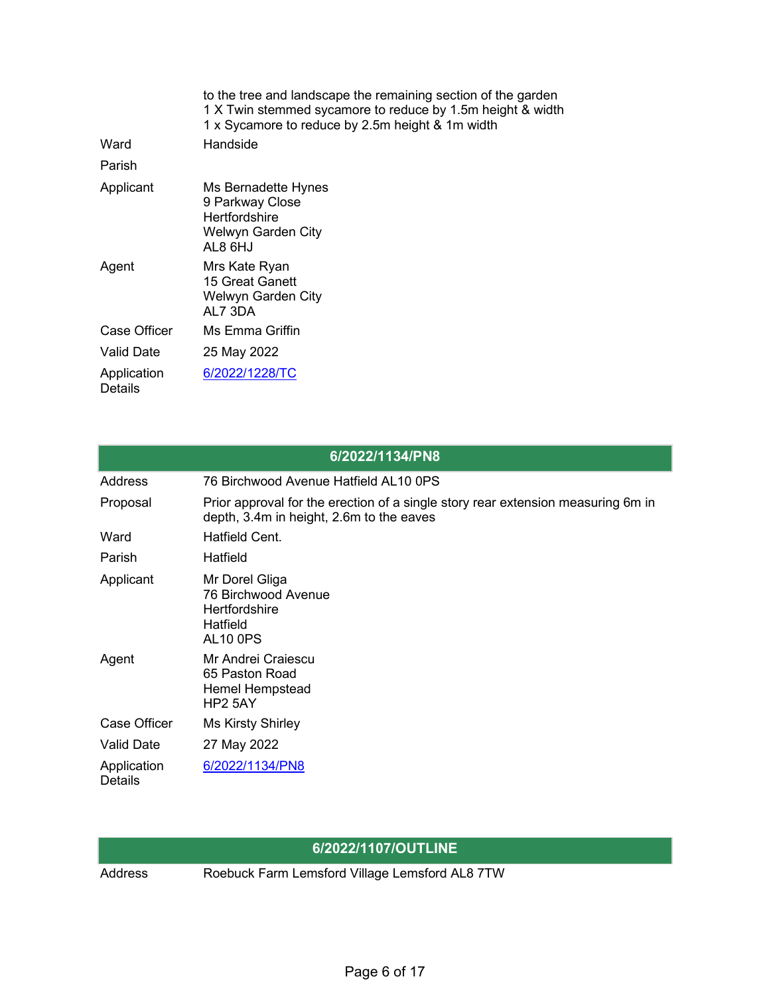|                        | to the tree and landscape the remaining section of the garden<br>1 X Twin stemmed sycamore to reduce by 1.5m height & width<br>1 x Sycamore to reduce by 2.5m height & 1m width |
|------------------------|---------------------------------------------------------------------------------------------------------------------------------------------------------------------------------|
| Ward                   | Handside                                                                                                                                                                        |
| Parish                 |                                                                                                                                                                                 |
| Applicant              | Ms Bernadette Hynes<br>9 Parkway Close<br><b>Hertfordshire</b><br>Welwyn Garden City<br>AL8 6HJ                                                                                 |
| Agent                  | Mrs Kate Ryan<br>15 Great Ganett<br>Welwyn Garden City<br>AL7 3DA                                                                                                               |
| Case Officer           | Ms Emma Griffin                                                                                                                                                                 |
| Valid Date             | 25 May 2022                                                                                                                                                                     |
| Application<br>Details | 6/2022/1228/TC                                                                                                                                                                  |

|                               | 6/2022/1134/PN8                                                                                                              |
|-------------------------------|------------------------------------------------------------------------------------------------------------------------------|
| Address                       | 76 Birchwood Avenue Hatfield AL10 0PS                                                                                        |
| Proposal                      | Prior approval for the erection of a single story rear extension measuring 6m in<br>depth, 3.4m in height, 2.6m to the eaves |
| Ward                          | Hatfield Cent.                                                                                                               |
| Parish                        | Hatfield                                                                                                                     |
| Applicant                     | Mr Dorel Gliga<br>76 Birchwood Avenue<br><b>Hertfordshire</b><br>Hatfield<br><b>AL10 0PS</b>                                 |
| Agent                         | Mr Andrei Craiescu<br>65 Paston Road<br><b>Hemel Hempstead</b><br>HP <sub>2</sub> 5AY                                        |
| <b>Case Officer</b>           | <b>Ms Kirsty Shirley</b>                                                                                                     |
| <b>Valid Date</b>             | 27 May 2022                                                                                                                  |
| Application<br><b>Details</b> | 6/2022/1134/PN8                                                                                                              |

## **6/2022/1107/OUTLINE**

Address Roebuck Farm Lemsford Village Lemsford AL8 7TW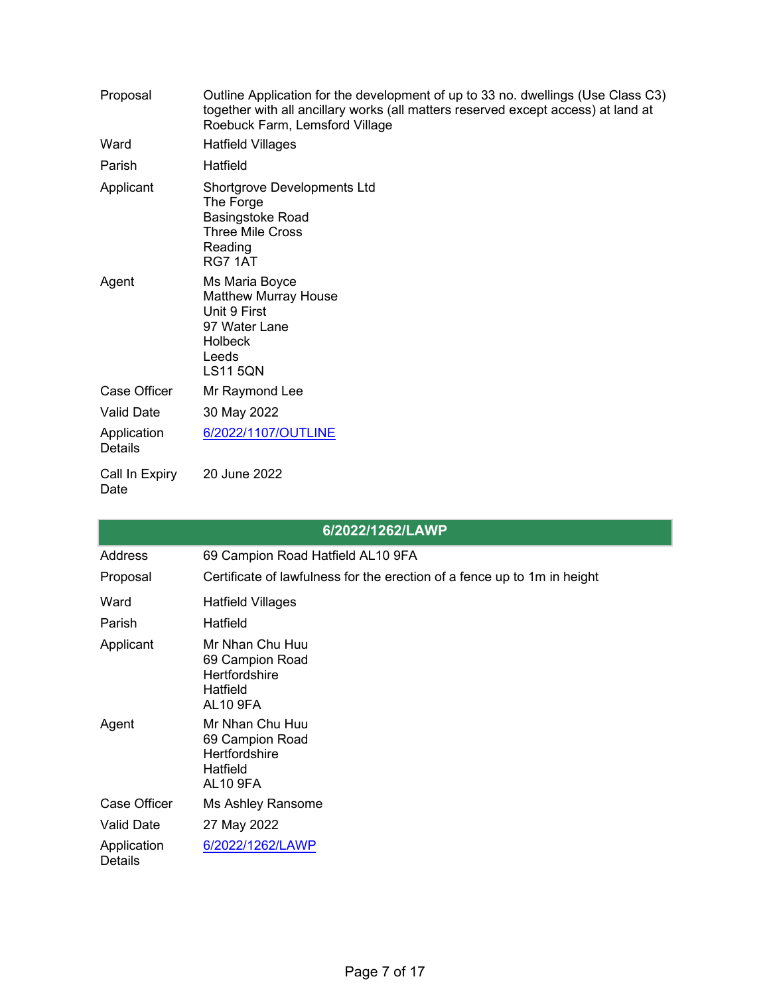| Proposal                      | Outline Application for the development of up to 33 no. dwellings (Use Class C3)<br>together with all ancillary works (all matters reserved except access) at land at<br>Roebuck Farm, Lemsford Village |
|-------------------------------|---------------------------------------------------------------------------------------------------------------------------------------------------------------------------------------------------------|
| Ward                          | <b>Hatfield Villages</b>                                                                                                                                                                                |
| Parish                        | Hatfield                                                                                                                                                                                                |
| Applicant                     | <b>Shortgrove Developments Ltd</b><br>The Forge<br><b>Basingstoke Road</b><br><b>Three Mile Cross</b><br>Reading<br>RG7 1AT                                                                             |
| Agent                         | Ms Maria Boyce<br><b>Matthew Murray House</b><br>Unit 9 First<br>97 Water Lane<br><b>Holbeck</b><br>Leeds<br><b>LS11 5QN</b>                                                                            |
| <b>Case Officer</b>           | Mr Raymond Lee                                                                                                                                                                                          |
| <b>Valid Date</b>             | 30 May 2022                                                                                                                                                                                             |
| Application<br><b>Details</b> | 6/2022/1107/OUTLINE                                                                                                                                                                                     |
| Call In Expiry<br>Date        | 20 June 2022                                                                                                                                                                                            |

|                               | 6/2022/1262/LAWP                                                                          |
|-------------------------------|-------------------------------------------------------------------------------------------|
| <b>Address</b>                | 69 Campion Road Hatfield AL10 9FA                                                         |
| Proposal                      | Certificate of lawfulness for the erection of a fence up to 1m in height                  |
| Ward                          | <b>Hatfield Villages</b>                                                                  |
| Parish                        | Hatfield                                                                                  |
| Applicant                     | Mr Nhan Chu Huu<br>69 Campion Road<br><b>Hertfordshire</b><br>Hatfield<br><b>AL10 9FA</b> |
| Agent                         | Mr Nhan Chu Huu<br>69 Campion Road<br><b>Hertfordshire</b><br>Hatfield<br><b>AL10 9FA</b> |
| Case Officer                  | Ms Ashley Ransome                                                                         |
| <b>Valid Date</b>             | 27 May 2022                                                                               |
| Application<br><b>Details</b> | 6/2022/1262/LAWP                                                                          |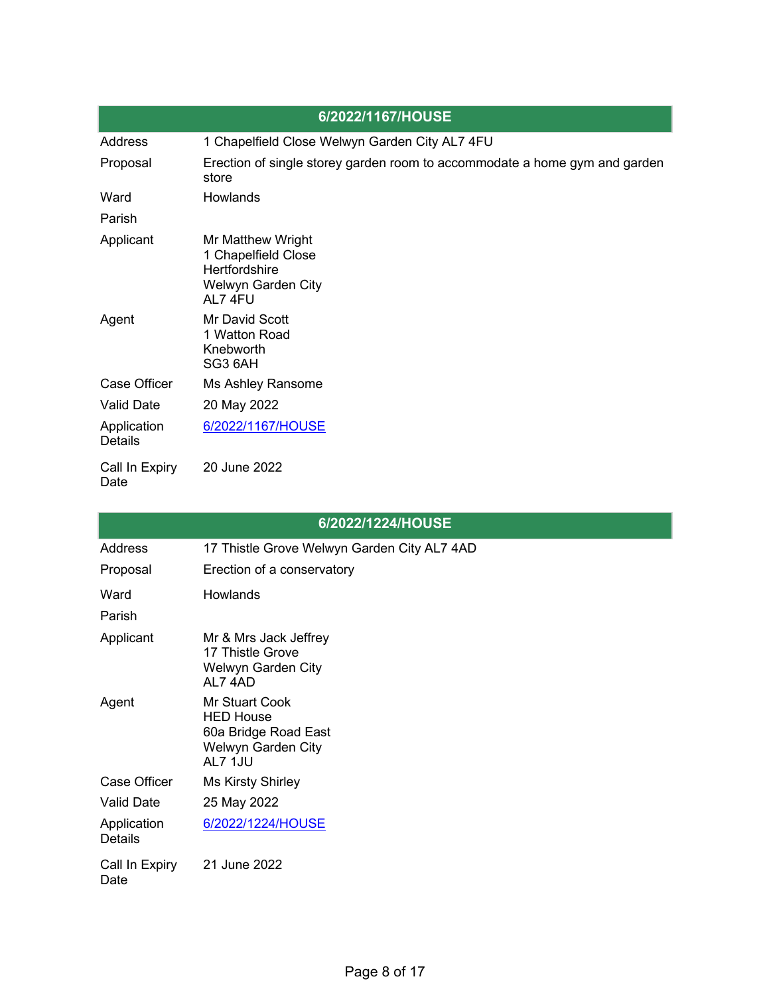|                               | 6/2022/1167/HOUSE                                                                          |
|-------------------------------|--------------------------------------------------------------------------------------------|
| Address                       | 1 Chapelfield Close Welwyn Garden City AL7 4FU                                             |
| Proposal                      | Erection of single storey garden room to accommodate a home gym and garden<br>store        |
| Ward                          | <b>Howlands</b>                                                                            |
| Parish                        |                                                                                            |
| Applicant                     | Mr Matthew Wright<br>1 Chapelfield Close<br>Hertfordshire<br>Welwyn Garden City<br>AL7 4FU |
| Agent                         | Mr David Scott<br>1 Watton Road<br>Knebworth<br>SG3 6AH                                    |
| Case Officer                  | Ms Ashley Ransome                                                                          |
| <b>Valid Date</b>             | 20 May 2022                                                                                |
| Application<br><b>Details</b> | 6/2022/1167/HOUSE                                                                          |
| Call In Expiry<br>Date        | 20 June 2022                                                                               |

| 6/2022/1224/HOUSE             |                                                                                                    |  |
|-------------------------------|----------------------------------------------------------------------------------------------------|--|
| Address                       | 17 Thistle Grove Welwyn Garden City AL7 4AD                                                        |  |
| Proposal                      | Erection of a conservatory                                                                         |  |
| Ward                          | <b>Howlands</b>                                                                                    |  |
| Parish                        |                                                                                                    |  |
| Applicant                     | Mr & Mrs Jack Jeffrey<br>17 Thistle Grove<br>Welwyn Garden City<br>AL74AD                          |  |
| Agent                         | <b>Mr Stuart Cook</b><br><b>HED House</b><br>60a Bridge Road East<br>Welwyn Garden City<br>AL7 1JU |  |
| Case Officer                  | <b>Ms Kirsty Shirley</b>                                                                           |  |
| <b>Valid Date</b>             | 25 May 2022                                                                                        |  |
| Application<br><b>Details</b> | 6/2022/1224/HOUSE                                                                                  |  |
| Call In Expiry<br>Date        | 21 June 2022                                                                                       |  |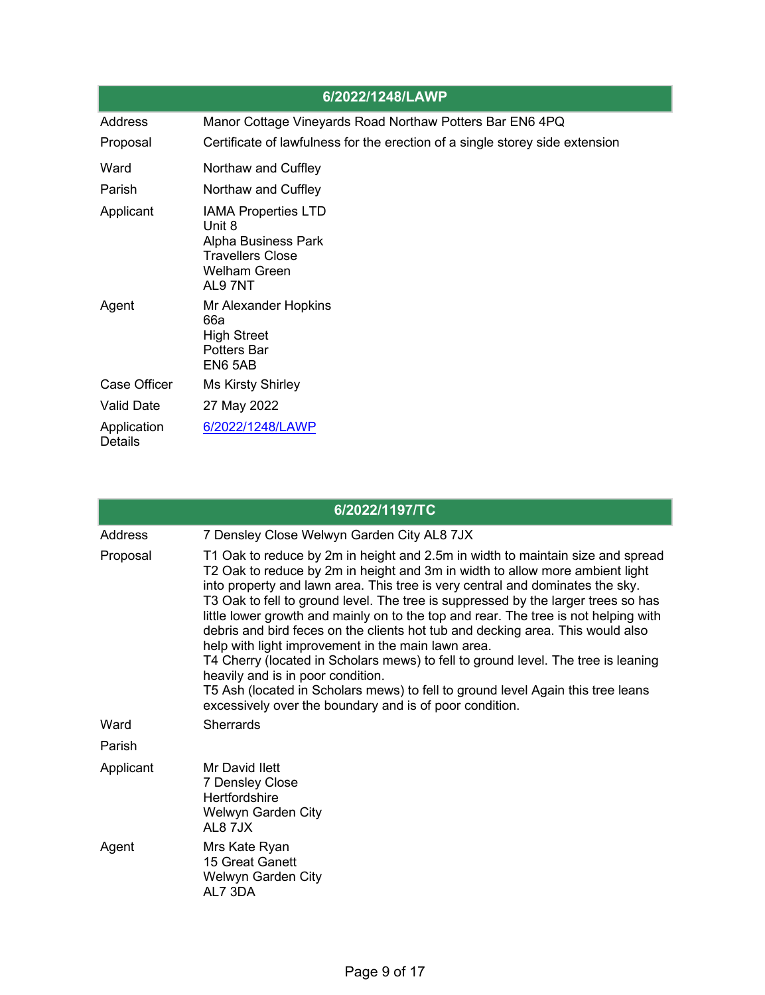|                               | 6/2022/1248/LAWP                                                                                                        |
|-------------------------------|-------------------------------------------------------------------------------------------------------------------------|
| Address                       | Manor Cottage Vineyards Road Northaw Potters Bar EN6 4PQ                                                                |
| Proposal                      | Certificate of lawfulness for the erection of a single storey side extension                                            |
| Ward                          | Northaw and Cuffley                                                                                                     |
| Parish                        | Northaw and Cuffley                                                                                                     |
| Applicant                     | <b>IAMA Properties LTD</b><br>Unit 8<br>Alpha Business Park<br><b>Travellers Close</b><br><b>Welham Green</b><br>AL97NT |
| Agent                         | Mr Alexander Hopkins<br>66a<br><b>High Street</b><br><b>Potters Bar</b><br>EN6 5AB                                      |
| Case Officer                  | <b>Ms Kirsty Shirley</b>                                                                                                |
| <b>Valid Date</b>             | 27 May 2022                                                                                                             |
| Application<br><b>Details</b> | 6/2022/1248/LAWP                                                                                                        |

|           | 6/2022/1197/TC                                                                                                                                                                                                                                                                                                                                                                                                                                                                                                                                                                                                                                                                                                                                                                                                                              |
|-----------|---------------------------------------------------------------------------------------------------------------------------------------------------------------------------------------------------------------------------------------------------------------------------------------------------------------------------------------------------------------------------------------------------------------------------------------------------------------------------------------------------------------------------------------------------------------------------------------------------------------------------------------------------------------------------------------------------------------------------------------------------------------------------------------------------------------------------------------------|
| Address   | 7 Densley Close Welwyn Garden City AL8 7JX                                                                                                                                                                                                                                                                                                                                                                                                                                                                                                                                                                                                                                                                                                                                                                                                  |
| Proposal  | T1 Oak to reduce by 2m in height and 2.5m in width to maintain size and spread<br>T2 Oak to reduce by 2m in height and 3m in width to allow more ambient light<br>into property and lawn area. This tree is very central and dominates the sky.<br>T3 Oak to fell to ground level. The tree is suppressed by the larger trees so has<br>little lower growth and mainly on to the top and rear. The tree is not helping with<br>debris and bird feces on the clients hot tub and decking area. This would also<br>help with light improvement in the main lawn area.<br>T4 Cherry (located in Scholars mews) to fell to ground level. The tree is leaning<br>heavily and is in poor condition.<br>T5 Ash (located in Scholars mews) to fell to ground level Again this tree leans<br>excessively over the boundary and is of poor condition. |
| Ward      | <b>Sherrards</b>                                                                                                                                                                                                                                                                                                                                                                                                                                                                                                                                                                                                                                                                                                                                                                                                                            |
| Parish    |                                                                                                                                                                                                                                                                                                                                                                                                                                                                                                                                                                                                                                                                                                                                                                                                                                             |
| Applicant | Mr David Ilett<br><b>7 Densley Close</b><br>Hertfordshire<br>Welwyn Garden City<br>AL8 7JX                                                                                                                                                                                                                                                                                                                                                                                                                                                                                                                                                                                                                                                                                                                                                  |
| Agent     | Mrs Kate Ryan<br>15 Great Ganett<br><b>Welwyn Garden City</b><br>AL7 3DA                                                                                                                                                                                                                                                                                                                                                                                                                                                                                                                                                                                                                                                                                                                                                                    |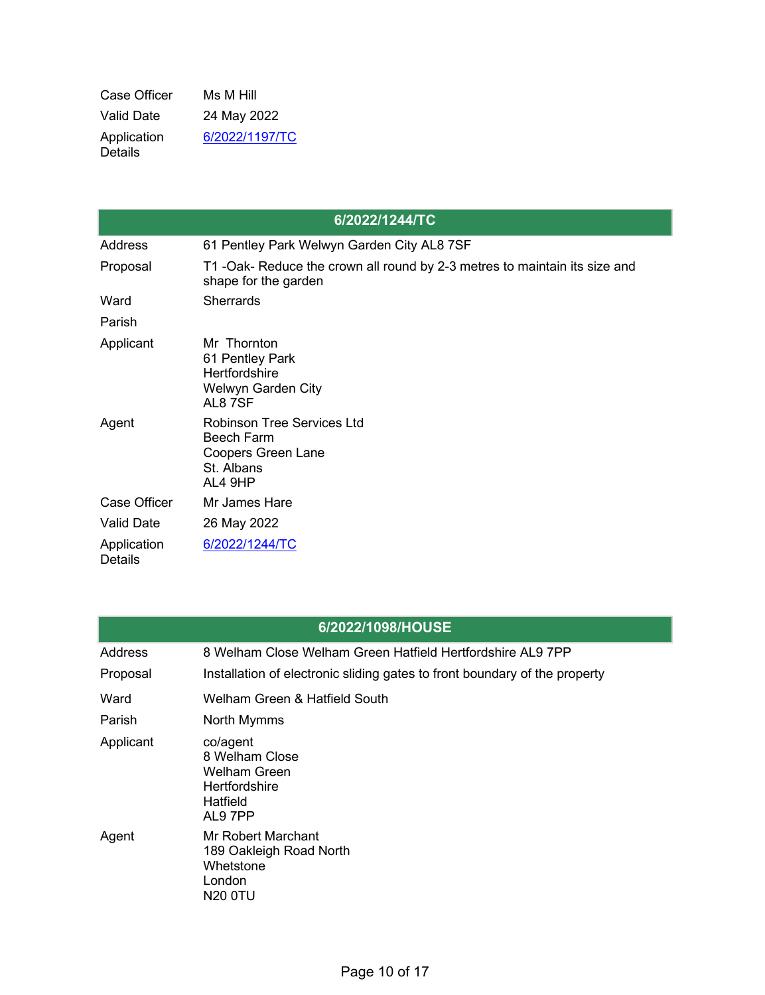| Case Officer                  | Ms M Hill      |
|-------------------------------|----------------|
| Valid Date                    | 24 May 2022    |
| Application<br><b>Details</b> | 6/2022/1197/TC |

|                               | 6/2022/1244/TC                                                                                               |
|-------------------------------|--------------------------------------------------------------------------------------------------------------|
| Address                       | 61 Pentley Park Welwyn Garden City AL8 7SF                                                                   |
| Proposal                      | T1 -Oak- Reduce the crown all round by 2-3 metres to maintain its size and<br>shape for the garden           |
| Ward                          | <b>Sherrards</b>                                                                                             |
| Parish                        |                                                                                                              |
| Applicant                     | Mr Thornton<br>61 Pentley Park<br>Hertfordshire<br><b>Welwyn Garden City</b><br>AL87SF                       |
| Agent                         | <b>Robinson Tree Services Ltd</b><br><b>Beech Farm</b><br><b>Coopers Green Lane</b><br>St. Albans<br>AL4 9HP |
| Case Officer                  | Mr James Hare                                                                                                |
| <b>Valid Date</b>             | 26 May 2022                                                                                                  |
| Application<br><b>Details</b> | 6/2022/1244/TC                                                                                               |

| 6/2022/1098/HOUSE |  |
|-------------------|--|
|                   |  |

| Address   | 8 Welham Close Welham Green Hatfield Hertfordshire AL9 7PP                                       |
|-----------|--------------------------------------------------------------------------------------------------|
| Proposal  | Installation of electronic sliding gates to front boundary of the property                       |
| Ward      | Welham Green & Hatfield South                                                                    |
| Parish    | North Mymms                                                                                      |
| Applicant | co/agent<br>8 Welham Close<br><b>Welham Green</b><br><b>Hertfordshire</b><br>Hatfield<br>AL9 7PP |
| Agent     | Mr Robert Marchant<br>189 Oakleigh Road North<br>Whetstone<br>London<br>N20 0TU                  |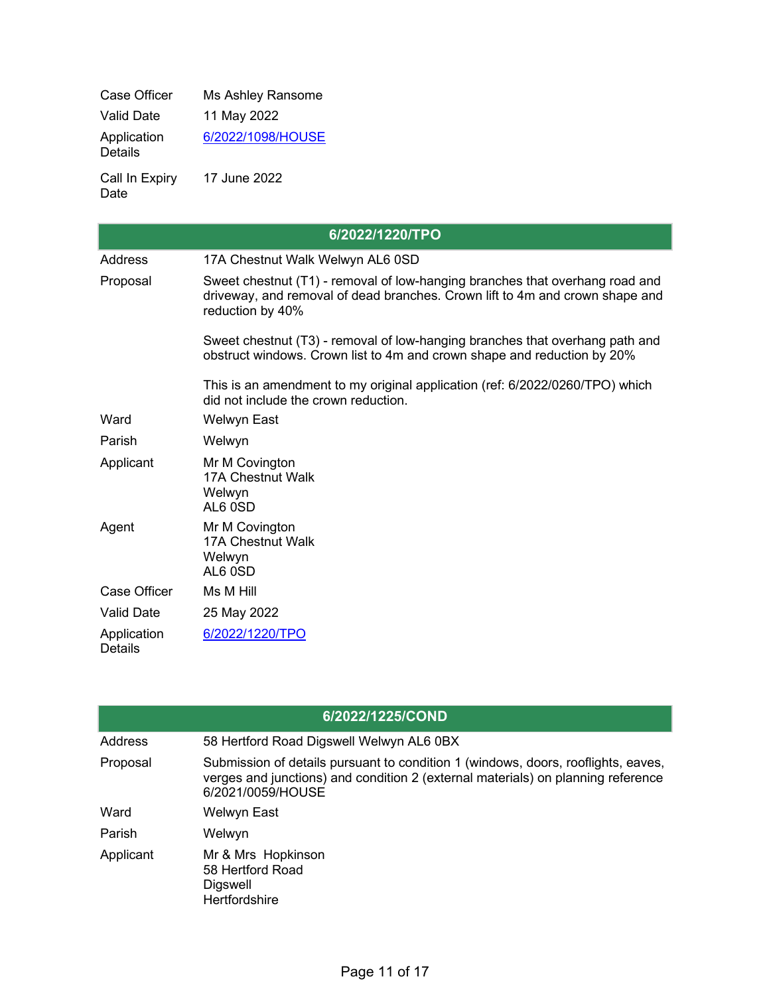| <b>Case Officer</b>           | Ms Ashley Ransome |
|-------------------------------|-------------------|
| Valid Date                    | 11 May 2022       |
| Application<br><b>Details</b> | 6/2022/1098/HOUSE |
| Call In Expiry                | 17 June 2022      |

Date

|                               | 6/2022/1220/TPO                                                                                                                                                                  |
|-------------------------------|----------------------------------------------------------------------------------------------------------------------------------------------------------------------------------|
| <b>Address</b>                | 17A Chestnut Walk Welwyn AL6 0SD                                                                                                                                                 |
| Proposal                      | Sweet chestnut (T1) - removal of low-hanging branches that overhang road and<br>driveway, and removal of dead branches. Crown lift to 4m and crown shape and<br>reduction by 40% |
|                               | Sweet chestnut (T3) - removal of low-hanging branches that overhang path and<br>obstruct windows. Crown list to 4m and crown shape and reduction by 20%                          |
|                               | This is an amendment to my original application (ref: 6/2022/0260/TPO) which<br>did not include the crown reduction.                                                             |
| Ward                          | <b>Welwyn East</b>                                                                                                                                                               |
| Parish                        | Welwyn                                                                                                                                                                           |
| Applicant                     | Mr M Covington<br>17A Chestnut Walk<br>Welwyn<br>AL6 OSD                                                                                                                         |
| Agent                         | Mr M Covington<br><b>17A Chestnut Walk</b><br>Welwyn<br>AL6 OSD                                                                                                                  |
| Case Officer                  | Ms M Hill                                                                                                                                                                        |
| <b>Valid Date</b>             | 25 May 2022                                                                                                                                                                      |
| Application<br><b>Details</b> | 6/2022/1220/TPO                                                                                                                                                                  |

|           | 6/2022/1225/COND                                                                                                                                                                           |
|-----------|--------------------------------------------------------------------------------------------------------------------------------------------------------------------------------------------|
| Address   | 58 Hertford Road Digswell Welwyn AL6 0BX                                                                                                                                                   |
| Proposal  | Submission of details pursuant to condition 1 (windows, doors, rooflights, eaves,<br>verges and junctions) and condition 2 (external materials) on planning reference<br>6/2021/0059/HOUSE |
| Ward      | <b>Welwyn East</b>                                                                                                                                                                         |
| Parish    | Welwyn                                                                                                                                                                                     |
| Applicant | Mr & Mrs Hopkinson<br>58 Hertford Road<br><b>Digswell</b><br>Hertfordshire                                                                                                                 |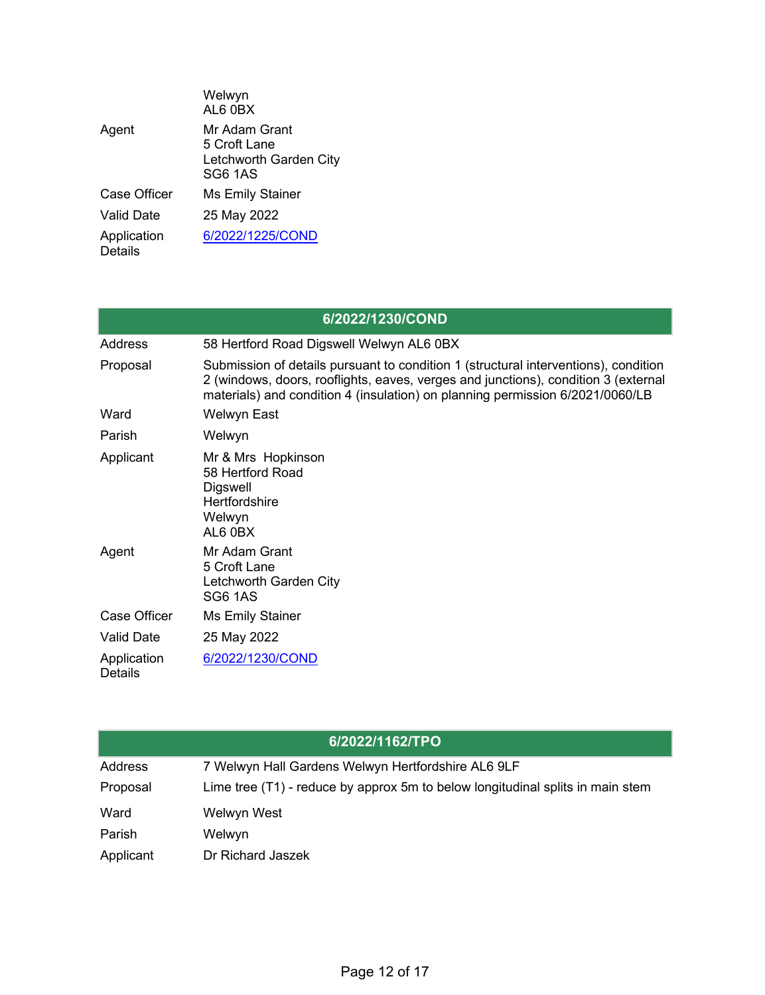|                        | Welwyn<br>AL6 0BX                                                  |
|------------------------|--------------------------------------------------------------------|
| Agent                  | Mr Adam Grant<br>5 Croft Lane<br>Letchworth Garden City<br>SG6 1AS |
| <b>Case Officer</b>    | <b>Ms Emily Stainer</b>                                            |
| Valid Date             | 25 May 2022                                                        |
| Application<br>Details | 6/2022/1225/COND                                                   |

|                               | 6/2022/1230/COND                                                                                                                                                                                                                                           |
|-------------------------------|------------------------------------------------------------------------------------------------------------------------------------------------------------------------------------------------------------------------------------------------------------|
| Address                       | 58 Hertford Road Digswell Welwyn AL6 0BX                                                                                                                                                                                                                   |
| Proposal                      | Submission of details pursuant to condition 1 (structural interventions), condition<br>2 (windows, doors, rooflights, eaves, verges and junctions), condition 3 (external<br>materials) and condition 4 (insulation) on planning permission 6/2021/0060/LB |
| Ward                          | Welwyn East                                                                                                                                                                                                                                                |
| Parish                        | Welwyn                                                                                                                                                                                                                                                     |
| Applicant                     | Mr & Mrs Hopkinson<br>58 Hertford Road<br>Digswell<br><b>Hertfordshire</b><br>Welwyn<br>AL6 0BX                                                                                                                                                            |
| Agent                         | Mr Adam Grant<br>5 Croft Lane<br>Letchworth Garden City<br><b>SG6 1AS</b>                                                                                                                                                                                  |
| Case Officer                  | Ms Emily Stainer                                                                                                                                                                                                                                           |
| <b>Valid Date</b>             | 25 May 2022                                                                                                                                                                                                                                                |
| Application<br><b>Details</b> | 6/2022/1230/COND                                                                                                                                                                                                                                           |

|           | 6/2022/1162/TPO                                                                |
|-----------|--------------------------------------------------------------------------------|
| Address   | 7 Welwyn Hall Gardens Welwyn Hertfordshire AL6 9LF                             |
| Proposal  | Lime tree (T1) - reduce by approx 5m to below longitudinal splits in main stem |
| Ward      | Welwyn West                                                                    |
| Parish    | Welwyn                                                                         |
| Applicant | Dr Richard Jaszek                                                              |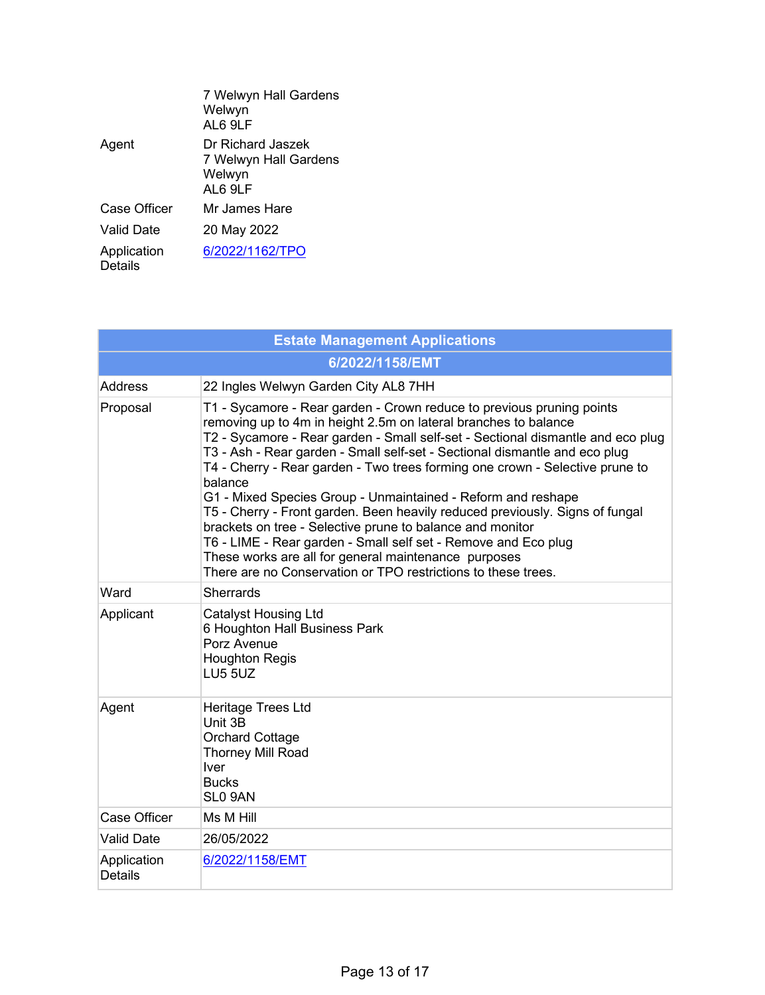|                               | 7 Welwyn Hall Gardens<br>Welwyn<br>AL6 9LF                      |
|-------------------------------|-----------------------------------------------------------------|
| Agent                         | Dr Richard Jaszek<br>7 Welwyn Hall Gardens<br>Welwyn<br>AL6 9LF |
| <b>Case Officer</b>           | Mr James Hare                                                   |
| Valid Date                    | 20 May 2022                                                     |
| Application<br><b>Details</b> | 6/2022/1162/TPO                                                 |

| <b>Estate Management Applications</b> |                                                                                                                                                                                                                                                                                                                                                                                                                                                                                                                                                                                                                                                                                                                                                                                                              |  |
|---------------------------------------|--------------------------------------------------------------------------------------------------------------------------------------------------------------------------------------------------------------------------------------------------------------------------------------------------------------------------------------------------------------------------------------------------------------------------------------------------------------------------------------------------------------------------------------------------------------------------------------------------------------------------------------------------------------------------------------------------------------------------------------------------------------------------------------------------------------|--|
| 6/2022/1158/EMT                       |                                                                                                                                                                                                                                                                                                                                                                                                                                                                                                                                                                                                                                                                                                                                                                                                              |  |
| <b>Address</b>                        | 22 Ingles Welwyn Garden City AL8 7HH                                                                                                                                                                                                                                                                                                                                                                                                                                                                                                                                                                                                                                                                                                                                                                         |  |
| Proposal                              | T1 - Sycamore - Rear garden - Crown reduce to previous pruning points<br>removing up to 4m in height 2.5m on lateral branches to balance<br>T2 - Sycamore - Rear garden - Small self-set - Sectional dismantle and eco plug<br>T3 - Ash - Rear garden - Small self-set - Sectional dismantle and eco plug<br>T4 - Cherry - Rear garden - Two trees forming one crown - Selective prune to<br>balance<br>G1 - Mixed Species Group - Unmaintained - Reform and reshape<br>T5 - Cherry - Front garden. Been heavily reduced previously. Signs of fungal<br>brackets on tree - Selective prune to balance and monitor<br>T6 - LIME - Rear garden - Small self set - Remove and Eco plug<br>These works are all for general maintenance purposes<br>There are no Conservation or TPO restrictions to these trees. |  |
| Ward                                  | <b>Sherrards</b>                                                                                                                                                                                                                                                                                                                                                                                                                                                                                                                                                                                                                                                                                                                                                                                             |  |
| Applicant                             | <b>Catalyst Housing Ltd</b><br>6 Houghton Hall Business Park<br>Porz Avenue<br><b>Houghton Regis</b><br>LU5 5UZ                                                                                                                                                                                                                                                                                                                                                                                                                                                                                                                                                                                                                                                                                              |  |
| Agent                                 | <b>Heritage Trees Ltd</b><br>Unit 3B<br><b>Orchard Cottage</b><br><b>Thorney Mill Road</b><br><b>Iver</b><br><b>Bucks</b><br>SL <sub>0</sub> 9AN                                                                                                                                                                                                                                                                                                                                                                                                                                                                                                                                                                                                                                                             |  |
| <b>Case Officer</b>                   | Ms M Hill                                                                                                                                                                                                                                                                                                                                                                                                                                                                                                                                                                                                                                                                                                                                                                                                    |  |
| <b>Valid Date</b>                     | 26/05/2022                                                                                                                                                                                                                                                                                                                                                                                                                                                                                                                                                                                                                                                                                                                                                                                                   |  |
| Application<br><b>Details</b>         | 6/2022/1158/EMT                                                                                                                                                                                                                                                                                                                                                                                                                                                                                                                                                                                                                                                                                                                                                                                              |  |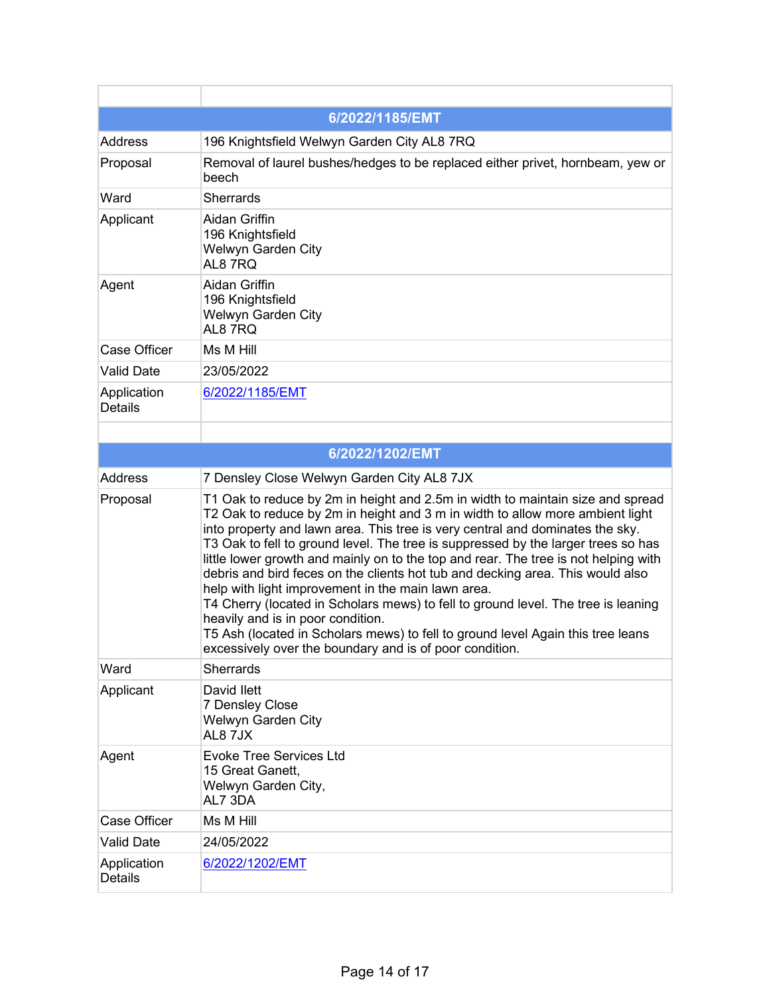|                               | 6/2022/1185/EMT                                                                                                                                                                                                                                                                                                                                                                                                                                                                                                                                                                                                                                                                                                                                                                                                                              |
|-------------------------------|----------------------------------------------------------------------------------------------------------------------------------------------------------------------------------------------------------------------------------------------------------------------------------------------------------------------------------------------------------------------------------------------------------------------------------------------------------------------------------------------------------------------------------------------------------------------------------------------------------------------------------------------------------------------------------------------------------------------------------------------------------------------------------------------------------------------------------------------|
| <b>Address</b>                | 196 Knightsfield Welwyn Garden City AL8 7RQ                                                                                                                                                                                                                                                                                                                                                                                                                                                                                                                                                                                                                                                                                                                                                                                                  |
| Proposal                      | Removal of laurel bushes/hedges to be replaced either privet, hornbeam, yew or<br>beech                                                                                                                                                                                                                                                                                                                                                                                                                                                                                                                                                                                                                                                                                                                                                      |
| Ward                          | <b>Sherrards</b>                                                                                                                                                                                                                                                                                                                                                                                                                                                                                                                                                                                                                                                                                                                                                                                                                             |
| Applicant                     | Aidan Griffin<br>196 Knightsfield<br>Welwyn Garden City<br>AL87RQ                                                                                                                                                                                                                                                                                                                                                                                                                                                                                                                                                                                                                                                                                                                                                                            |
| Agent                         | <b>Aidan Griffin</b><br>196 Knightsfield<br>Welwyn Garden City<br>AL87RQ                                                                                                                                                                                                                                                                                                                                                                                                                                                                                                                                                                                                                                                                                                                                                                     |
| Case Officer                  | Ms M Hill                                                                                                                                                                                                                                                                                                                                                                                                                                                                                                                                                                                                                                                                                                                                                                                                                                    |
| <b>Valid Date</b>             | 23/05/2022                                                                                                                                                                                                                                                                                                                                                                                                                                                                                                                                                                                                                                                                                                                                                                                                                                   |
| Application<br><b>Details</b> | 6/2022/1185/EMT                                                                                                                                                                                                                                                                                                                                                                                                                                                                                                                                                                                                                                                                                                                                                                                                                              |
|                               |                                                                                                                                                                                                                                                                                                                                                                                                                                                                                                                                                                                                                                                                                                                                                                                                                                              |
|                               | 6/2022/1202/EMT                                                                                                                                                                                                                                                                                                                                                                                                                                                                                                                                                                                                                                                                                                                                                                                                                              |
| Address                       | 7 Densley Close Welwyn Garden City AL8 7JX                                                                                                                                                                                                                                                                                                                                                                                                                                                                                                                                                                                                                                                                                                                                                                                                   |
| Proposal                      | T1 Oak to reduce by 2m in height and 2.5m in width to maintain size and spread<br>T2 Oak to reduce by 2m in height and 3 m in width to allow more ambient light<br>into property and lawn area. This tree is very central and dominates the sky.<br>T3 Oak to fell to ground level. The tree is suppressed by the larger trees so has<br>little lower growth and mainly on to the top and rear. The tree is not helping with<br>debris and bird feces on the clients hot tub and decking area. This would also<br>help with light improvement in the main lawn area.<br>T4 Cherry (located in Scholars mews) to fell to ground level. The tree is leaning<br>heavily and is in poor condition.<br>T5 Ash (located in Scholars mews) to fell to ground level Again this tree leans<br>excessively over the boundary and is of poor condition. |
| Ward                          | <b>Sherrards</b>                                                                                                                                                                                                                                                                                                                                                                                                                                                                                                                                                                                                                                                                                                                                                                                                                             |
| Applicant                     | David Ilett<br><b>7 Densley Close</b><br>Welwyn Garden City<br>AL87JX                                                                                                                                                                                                                                                                                                                                                                                                                                                                                                                                                                                                                                                                                                                                                                        |
| Agent                         | <b>Evoke Tree Services Ltd</b><br>15 Great Ganett,<br>Welwyn Garden City,<br>AL7 3DA                                                                                                                                                                                                                                                                                                                                                                                                                                                                                                                                                                                                                                                                                                                                                         |
| Case Officer                  | Ms M Hill                                                                                                                                                                                                                                                                                                                                                                                                                                                                                                                                                                                                                                                                                                                                                                                                                                    |
| <b>Valid Date</b>             | 24/05/2022                                                                                                                                                                                                                                                                                                                                                                                                                                                                                                                                                                                                                                                                                                                                                                                                                                   |
| Application<br><b>Details</b> | 6/2022/1202/EMT                                                                                                                                                                                                                                                                                                                                                                                                                                                                                                                                                                                                                                                                                                                                                                                                                              |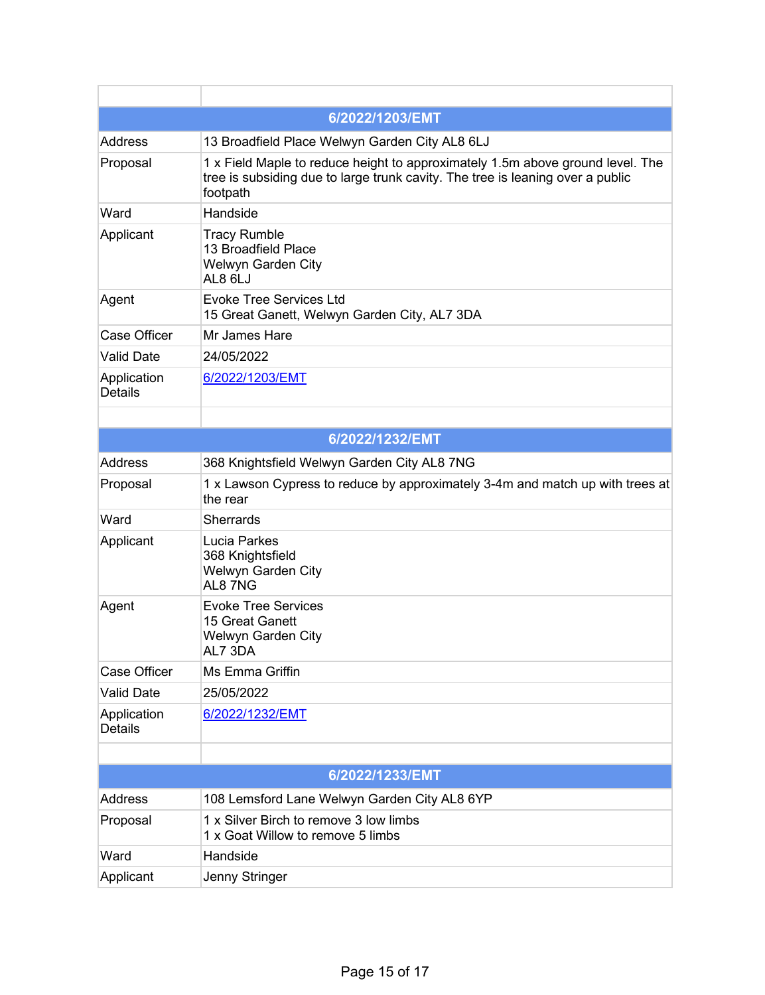|                               | 6/2022/1203/EMT                                                                                                                                                              |
|-------------------------------|------------------------------------------------------------------------------------------------------------------------------------------------------------------------------|
| <b>Address</b>                | 13 Broadfield Place Welwyn Garden City AL8 6LJ                                                                                                                               |
| Proposal                      | 1 x Field Maple to reduce height to approximately 1.5m above ground level. The<br>tree is subsiding due to large trunk cavity. The tree is leaning over a public<br>footpath |
| Ward                          | Handside                                                                                                                                                                     |
| Applicant                     | <b>Tracy Rumble</b><br>13 Broadfield Place<br><b>Welwyn Garden City</b><br>AL8 6LJ                                                                                           |
| Agent                         | <b>Evoke Tree Services Ltd</b><br>15 Great Ganett, Welwyn Garden City, AL7 3DA                                                                                               |
| Case Officer                  | Mr James Hare                                                                                                                                                                |
| <b>Valid Date</b>             | 24/05/2022                                                                                                                                                                   |
| Application<br><b>Details</b> | 6/2022/1203/EMT                                                                                                                                                              |
|                               |                                                                                                                                                                              |
|                               | 6/2022/1232/EMT                                                                                                                                                              |
| Address                       | 368 Knightsfield Welwyn Garden City AL8 7NG                                                                                                                                  |
| Proposal                      | 1 x Lawson Cypress to reduce by approximately 3-4m and match up with trees at<br>the rear                                                                                    |
| Ward                          | <b>Sherrards</b>                                                                                                                                                             |
| Applicant                     | <b>Lucia Parkes</b><br>368 Knightsfield<br>Welwyn Garden City<br>AL87NG                                                                                                      |
| Agent                         | <b>Evoke Tree Services</b><br>15 Great Ganett<br>Welwyn Garden City<br>AL7 3DA                                                                                               |
| <b>Case Officer</b>           | Ms Emma Griffin                                                                                                                                                              |
| <b>Valid Date</b>             | 25/05/2022                                                                                                                                                                   |
| Application<br><b>Details</b> | 6/2022/1232/EMT                                                                                                                                                              |
|                               |                                                                                                                                                                              |
|                               | 6/2022/1233/EMT                                                                                                                                                              |
| <b>Address</b>                | 108 Lemsford Lane Welwyn Garden City AL8 6YP                                                                                                                                 |
| Proposal                      | 1 x Silver Birch to remove 3 low limbs<br>1 x Goat Willow to remove 5 limbs                                                                                                  |
| Ward                          | Handside                                                                                                                                                                     |
| Applicant                     | Jenny Stringer                                                                                                                                                               |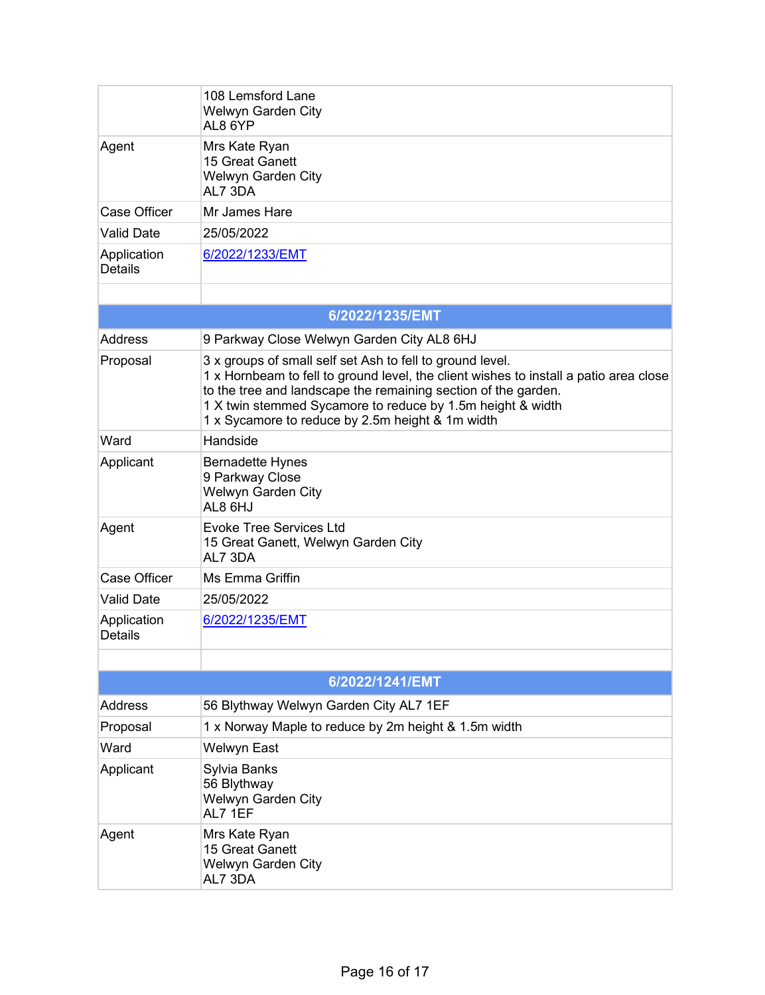|                               | 108 Lemsford Lane<br>Welwyn Garden City<br>AL8 6YP                                                                                                                                                                                                                                                                                     |  |
|-------------------------------|----------------------------------------------------------------------------------------------------------------------------------------------------------------------------------------------------------------------------------------------------------------------------------------------------------------------------------------|--|
| Agent                         | Mrs Kate Ryan<br>15 Great Ganett<br>Welwyn Garden City<br>AL7 3DA                                                                                                                                                                                                                                                                      |  |
| <b>Case Officer</b>           | Mr James Hare                                                                                                                                                                                                                                                                                                                          |  |
| <b>Valid Date</b>             | 25/05/2022                                                                                                                                                                                                                                                                                                                             |  |
| Application<br><b>Details</b> | 6/2022/1233/EMT                                                                                                                                                                                                                                                                                                                        |  |
|                               |                                                                                                                                                                                                                                                                                                                                        |  |
|                               | 6/2022/1235/EMT                                                                                                                                                                                                                                                                                                                        |  |
| Address                       | 9 Parkway Close Welwyn Garden City AL8 6HJ                                                                                                                                                                                                                                                                                             |  |
| Proposal                      | 3 x groups of small self set Ash to fell to ground level.<br>1 x Hornbeam to fell to ground level, the client wishes to install a patio area close<br>to the tree and landscape the remaining section of the garden.<br>1 X twin stemmed Sycamore to reduce by 1.5m height & width<br>1 x Sycamore to reduce by 2.5m height & 1m width |  |
| Ward                          | Handside                                                                                                                                                                                                                                                                                                                               |  |
| Applicant                     | <b>Bernadette Hynes</b><br>9 Parkway Close<br>Welwyn Garden City<br>AL8 6HJ                                                                                                                                                                                                                                                            |  |
| Agent                         | <b>Evoke Tree Services Ltd</b><br>15 Great Ganett, Welwyn Garden City<br>AL7 3DA                                                                                                                                                                                                                                                       |  |
| <b>Case Officer</b>           | Ms Emma Griffin                                                                                                                                                                                                                                                                                                                        |  |
| <b>Valid Date</b>             | 25/05/2022                                                                                                                                                                                                                                                                                                                             |  |
| Application<br><b>Details</b> | 6/2022/1235/EMT                                                                                                                                                                                                                                                                                                                        |  |
|                               |                                                                                                                                                                                                                                                                                                                                        |  |
| 6/2022/1241/EMT               |                                                                                                                                                                                                                                                                                                                                        |  |
| <b>Address</b>                | 56 Blythway Welwyn Garden City AL7 1EF                                                                                                                                                                                                                                                                                                 |  |
| Proposal                      | 1 x Norway Maple to reduce by 2m height & 1.5m width                                                                                                                                                                                                                                                                                   |  |
| Ward                          | Welwyn East                                                                                                                                                                                                                                                                                                                            |  |
| Applicant                     | Sylvia Banks<br>56 Blythway<br>Welwyn Garden City<br>AL7 1EF                                                                                                                                                                                                                                                                           |  |
| Agent                         | Mrs Kate Ryan<br>15 Great Ganett<br>Welwyn Garden City<br>AL7 3DA                                                                                                                                                                                                                                                                      |  |